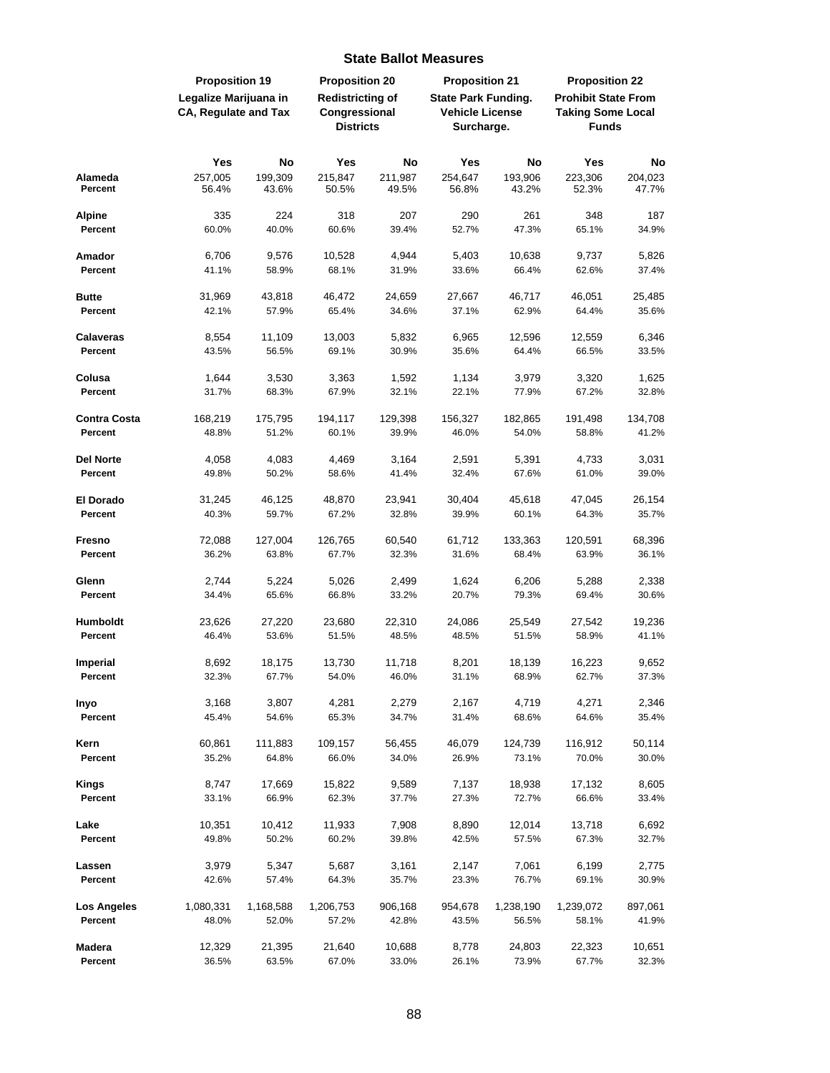|                                | <b>Proposition 19</b>                                |                    | <b>Proposition 20</b>                                        |                  | <b>Proposition 21</b>                                              |                    | <b>Proposition 22</b>                                                  |                  |
|--------------------------------|------------------------------------------------------|--------------------|--------------------------------------------------------------|------------------|--------------------------------------------------------------------|--------------------|------------------------------------------------------------------------|------------------|
|                                | Legalize Marijuana in<br><b>CA, Regulate and Tax</b> |                    | <b>Redistricting of</b><br>Congressional<br><b>Districts</b> |                  | <b>State Park Funding.</b><br><b>Vehicle License</b><br>Surcharge. |                    | <b>Prohibit State From</b><br><b>Taking Some Local</b><br><b>Funds</b> |                  |
|                                | Yes                                                  | <b>No</b>          | Yes                                                          | <b>No</b>        | Yes                                                                | <b>No</b>          | Yes                                                                    | No               |
| Alameda<br>Percent             | 257,005<br>56.4%                                     | 199,309<br>43.6%   | 215,847<br>50.5%                                             | 211,987<br>49.5% | 254,647<br>56.8%                                                   | 193,906<br>43.2%   | 223,306<br>52.3%                                                       | 204,023<br>47.7% |
| <b>Alpine</b><br>Percent       | 335<br>60.0%                                         | 224<br>40.0%       | 318<br>60.6%                                                 | 207<br>39.4%     | 290<br>52.7%                                                       | 261<br>47.3%       | 348<br>65.1%                                                           | 187<br>34.9%     |
| Amador                         | 6,706                                                | 9,576              | 10,528                                                       | 4,944            | 5,403                                                              | 10,638             | 9,737                                                                  | 5,826            |
| Percent                        | 41.1%                                                | 58.9%              | 68.1%                                                        | 31.9%            | 33.6%                                                              | 66.4%              | 62.6%                                                                  | 37.4%            |
| <b>Butte</b>                   | 31,969                                               | 43,818             | 46,472                                                       | 24,659           | 27,667                                                             | 46,717             | 46,051                                                                 | 25,485           |
| Percent                        | 42.1%                                                | 57.9%              | 65.4%                                                        | 34.6%            | 37.1%                                                              | 62.9%              | 64.4%                                                                  | 35.6%            |
| <b>Calaveras</b><br>Percent    | 8,554<br>43.5%                                       | 11,109<br>56.5%    | 13,003<br>69.1%                                              | 5,832<br>30.9%   | 6,965<br>35.6%                                                     | 12,596<br>64.4%    | 12,559<br>66.5%                                                        | 6,346<br>33.5%   |
| Colusa                         | 1,644                                                | 3,530              | 3,363                                                        | 1,592            | 1,134                                                              | 3,979              | 3,320                                                                  | 1,625            |
| Percent                        | 31.7%                                                | 68.3%              | 67.9%                                                        | 32.1%            | 22.1%                                                              | 77.9%              | 67.2%                                                                  | 32.8%            |
| <b>Contra Costa</b><br>Percent | 168,219<br>48.8%                                     | 175,795<br>51.2%   | 194,117<br>60.1%                                             | 129,398<br>39.9% | 156,327<br>46.0%                                                   | 182,865<br>54.0%   | 191,498<br>58.8%                                                       | 134,708<br>41.2% |
| Del Norte                      | 4,058                                                | 4,083              | 4,469                                                        | 3,164            | 2,591                                                              | 5,391              | 4,733                                                                  | 3,031            |
| Percent                        | 49.8%                                                | 50.2%              | 58.6%                                                        | 41.4%            | 32.4%                                                              | 67.6%              | 61.0%                                                                  | 39.0%            |
| El Dorado<br>Percent           | 31,245<br>40.3%                                      | 46,125<br>59.7%    | 48,870<br>67.2%                                              | 23,941<br>32.8%  | 30,404<br>39.9%                                                    | 45,618<br>60.1%    | 47,045<br>64.3%                                                        | 26,154<br>35.7%  |
| Fresno                         | 72,088                                               | 127,004            | 126,765                                                      | 60,540           | 61,712                                                             | 133,363            | 120,591                                                                | 68,396           |
| Percent                        | 36.2%                                                | 63.8%              | 67.7%                                                        | 32.3%            | 31.6%                                                              | 68.4%              | 63.9%                                                                  | 36.1%            |
| Glenn                          | 2,744                                                | 5,224              | 5,026                                                        | 2,499            | 1,624                                                              | 6,206              | 5,288                                                                  | 2,338            |
| Percent                        | 34.4%                                                | 65.6%              | 66.8%                                                        | 33.2%            | 20.7%                                                              | 79.3%              | 69.4%                                                                  | 30.6%            |
| Humboldt<br>Percent            | 23,626<br>46.4%                                      | 27,220<br>53.6%    | 23,680<br>51.5%                                              | 22,310<br>48.5%  | 24,086<br>48.5%                                                    | 25,549<br>51.5%    | 27,542<br>58.9%                                                        | 19,236<br>41.1%  |
| <b>Imperial</b>                | 8,692                                                | 18,175             | 13,730                                                       | 11,718           | 8,201                                                              | 18,139             | 16,223                                                                 | 9,652            |
| Percent                        | 32.3%                                                | 67.7%              | 54.0%                                                        | 46.0%            | 31.1%                                                              | 68.9%              | 62.7%                                                                  | 37.3%            |
| Inyo                           | 3,168                                                | 3,807              | 4,281                                                        | 2,279            | 2,167                                                              | 4,719              | 4,271                                                                  | 2,346            |
| Percent                        | 45.4%                                                | 54.6%              | 65.3%                                                        | 34.7%            | 31.4%                                                              | 68.6%              | 64.6%                                                                  | 35.4%            |
| Kern                           | 60,861                                               | 111,883            | 109,157                                                      | 56,455           | 46,079                                                             | 124,739            | 116,912                                                                | 50,114           |
| Percent                        | 35.2%                                                | 64.8%              | 66.0%                                                        | 34.0%            | 26.9%                                                              | 73.1%              | 70.0%                                                                  | 30.0%            |
| <b>Kings</b><br>Percent        | 8,747<br>33.1%                                       | 17,669<br>66.9%    | 15,822<br>62.3%                                              | 9,589<br>37.7%   | 7,137<br>27.3%                                                     | 18,938<br>72.7%    | 17,132<br>66.6%                                                        | 8,605<br>33.4%   |
| Lake                           | 10,351                                               | 10,412             | 11,933                                                       | 7,908            | 8,890                                                              | 12,014             | 13,718                                                                 | 6,692            |
| Percent                        | 49.8%                                                | 50.2%              | 60.2%                                                        | 39.8%            | 42.5%                                                              | 57.5%              | 67.3%                                                                  | 32.7%            |
| Lassen<br>Percent              | 3,979<br>42.6%                                       | 5,347<br>57.4%     | 5,687<br>64.3%                                               | 3,161<br>35.7%   | 2,147<br>23.3%                                                     | 7,061<br>76.7%     | 6,199<br>69.1%                                                         | 2,775<br>30.9%   |
| Los Angeles<br>Percent         | 1,080,331<br>48.0%                                   | 1,168,588<br>52.0% | 1,206,753<br>57.2%                                           | 906,168<br>42.8% | 954,678<br>43.5%                                                   | 1,238,190<br>56.5% | 1,239,072<br>58.1%                                                     | 897,061<br>41.9% |
| Madera<br>Percent              | 12,329<br>36.5%                                      | 21,395<br>63.5%    | 21,640<br>67.0%                                              | 10,688<br>33.0%  | 8,778<br>26.1%                                                     | 24,803<br>73.9%    | 22,323<br>67.7%                                                        | 10,651<br>32.3%  |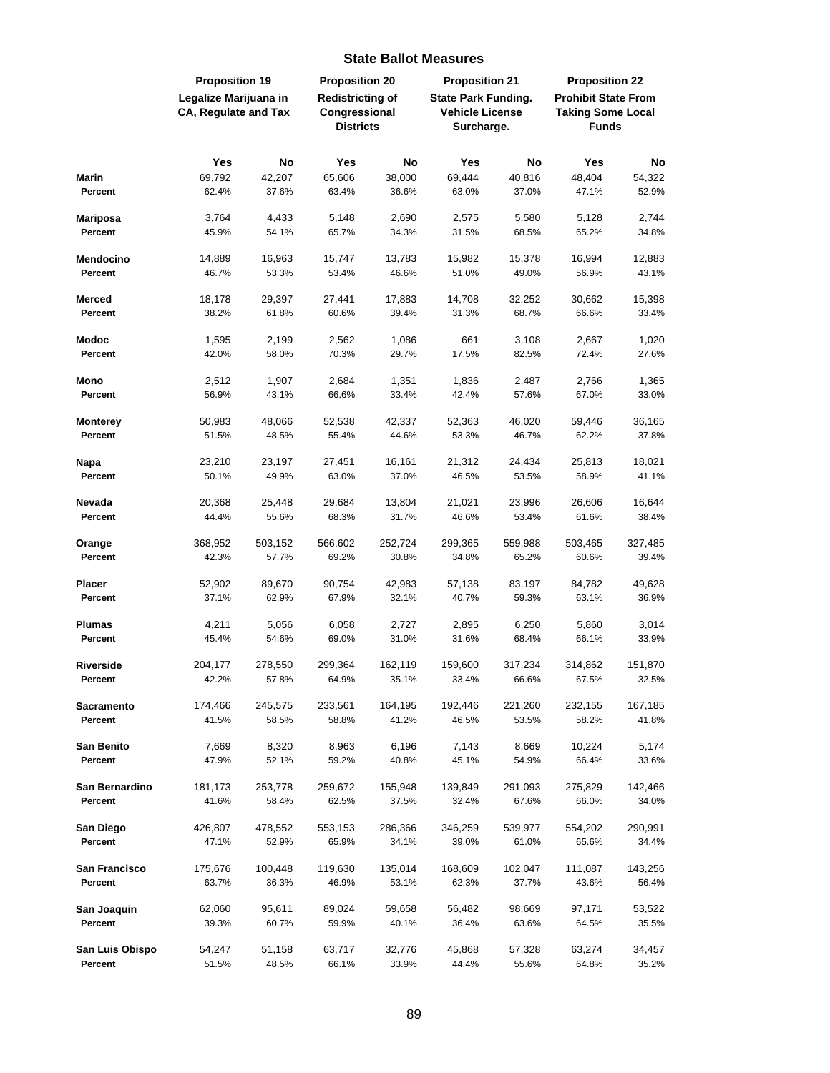|                   | <b>Proposition 19</b>                         |           | <b>Proposition 20</b>                    |           | <b>Proposition 21</b>                                |           | <b>Proposition 22</b>                                  |         |
|-------------------|-----------------------------------------------|-----------|------------------------------------------|-----------|------------------------------------------------------|-----------|--------------------------------------------------------|---------|
|                   | Legalize Marijuana in<br>CA, Regulate and Tax |           | <b>Redistricting of</b><br>Congressional |           | <b>State Park Funding.</b><br><b>Vehicle License</b> |           | <b>Prohibit State From</b><br><b>Taking Some Local</b> |         |
|                   |                                               |           | <b>Districts</b>                         |           | Surcharge.                                           |           | <b>Funds</b>                                           |         |
|                   | Yes                                           | <b>No</b> | Yes                                      | <b>No</b> | Yes                                                  | <b>No</b> | Yes                                                    | No      |
| <b>Marin</b>      | 69,792                                        | 42,207    | 65,606                                   | 38,000    | 69,444                                               | 40,816    | 48,404                                                 | 54,322  |
| Percent           | 62.4%                                         | 37.6%     | 63.4%                                    | 36.6%     | 63.0%                                                | 37.0%     | 47.1%                                                  | 52.9%   |
| <b>Mariposa</b>   | 3,764                                         | 4,433     | 5,148                                    | 2,690     | 2,575                                                | 5,580     | 5,128                                                  | 2,744   |
| Percent           | 45.9%                                         | 54.1%     | 65.7%                                    | 34.3%     | 31.5%                                                | 68.5%     | 65.2%                                                  | 34.8%   |
| Mendocino         | 14,889                                        | 16,963    | 15,747                                   | 13,783    | 15,982                                               | 15,378    | 16,994                                                 | 12,883  |
| Percent           | 46.7%                                         | 53.3%     | 53.4%                                    | 46.6%     | 51.0%                                                | 49.0%     | 56.9%                                                  | 43.1%   |
| <b>Merced</b>     | 18,178                                        | 29,397    | 27,441                                   | 17,883    | 14,708                                               | 32,252    | 30,662                                                 | 15,398  |
| Percent           | 38.2%                                         | 61.8%     | 60.6%                                    | 39.4%     | 31.3%                                                | 68.7%     | 66.6%                                                  | 33.4%   |
| <b>Modoc</b>      | 1,595                                         | 2,199     | 2,562                                    | 1,086     | 661                                                  | 3,108     | 2,667                                                  | 1,020   |
| Percent           | 42.0%                                         | 58.0%     | 70.3%                                    | 29.7%     | 17.5%                                                | 82.5%     | 72.4%                                                  | 27.6%   |
| Mono              | 2,512                                         | 1,907     | 2,684                                    | 1,351     | 1,836                                                | 2,487     | 2,766                                                  | 1,365   |
| Percent           | 56.9%                                         | 43.1%     | 66.6%                                    | 33.4%     | 42.4%                                                | 57.6%     | 67.0%                                                  | 33.0%   |
| <b>Monterey</b>   | 50,983                                        | 48,066    | 52,538                                   | 42,337    | 52,363                                               | 46,020    | 59,446                                                 | 36,165  |
| Percent           | 51.5%                                         | 48.5%     | 55.4%                                    | 44.6%     | 53.3%                                                | 46.7%     | 62.2%                                                  | 37.8%   |
| Napa              | 23,210                                        | 23,197    | 27,451                                   | 16,161    | 21,312                                               | 24,434    | 25,813                                                 | 18,021  |
| Percent           | 50.1%                                         | 49.9%     | 63.0%                                    | 37.0%     | 46.5%                                                | 53.5%     | 58.9%                                                  | 41.1%   |
| Nevada            | 20,368                                        | 25,448    | 29,684                                   | 13,804    | 21,021                                               | 23,996    | 26,606                                                 | 16,644  |
| Percent           | 44.4%                                         | 55.6%     | 68.3%                                    | 31.7%     | 46.6%                                                | 53.4%     | 61.6%                                                  | 38.4%   |
| Orange            | 368,952                                       | 503,152   | 566,602                                  | 252,724   | 299,365                                              | 559,988   | 503,465                                                | 327,485 |
| Percent           | 42.3%                                         | 57.7%     | 69.2%                                    | 30.8%     | 34.8%                                                | 65.2%     | 60.6%                                                  | 39.4%   |
| <b>Placer</b>     | 52,902                                        | 89,670    | 90,754                                   | 42,983    | 57,138                                               | 83,197    | 84,782                                                 | 49,628  |
| Percent           | 37.1%                                         | 62.9%     | 67.9%                                    | 32.1%     | 40.7%                                                | 59.3%     | 63.1%                                                  | 36.9%   |
| <b>Plumas</b>     | 4,211                                         | 5,056     | 6,058                                    | 2,727     | 2,895                                                | 6,250     | 5,860                                                  | 3,014   |
| Percent           | 45.4%                                         | 54.6%     | 69.0%                                    | 31.0%     | 31.6%                                                | 68.4%     | 66.1%                                                  | 33.9%   |
| Riverside         | 204,177                                       | 278,550   | 299,364                                  | 162,119   | 159,600                                              | 317,234   | 314,862                                                | 151,870 |
| Percent           | 42.2%                                         | 57.8%     | 64.9%                                    | 35.1%     | 33.4%                                                | 66.6%     | 67.5%                                                  | 32.5%   |
| <b>Sacramento</b> | 174,466                                       | 245,575   | 233,561                                  | 164,195   | 192,446                                              | 221,260   | 232,155                                                | 167,185 |
| Percent           | 41.5%                                         | 58.5%     | 58.8%                                    | 41.2%     | 46.5%                                                | 53.5%     | 58.2%                                                  | 41.8%   |
| <b>San Benito</b> | 7,669                                         | 8,320     | 8,963                                    | 6,196     | 7,143                                                | 8,669     | 10,224                                                 | 5,174   |
| Percent           | 47.9%                                         | 52.1%     | 59.2%                                    | 40.8%     | 45.1%                                                | 54.9%     | 66.4%                                                  | 33.6%   |
| San Bernardino    | 181,173                                       | 253,778   | 259,672                                  | 155,948   | 139,849                                              | 291,093   | 275,829                                                | 142,466 |
| Percent           | 41.6%                                         | 58.4%     | 62.5%                                    | 37.5%     | 32.4%                                                | 67.6%     | 66.0%                                                  | 34.0%   |
| San Diego         | 426,807                                       | 478,552   | 553,153                                  | 286,366   | 346,259                                              | 539,977   | 554,202                                                | 290,991 |
| Percent           | 47.1%                                         | 52.9%     | 65.9%                                    | 34.1%     | 39.0%                                                | 61.0%     | 65.6%                                                  | 34.4%   |
| San Francisco     | 175,676                                       | 100,448   | 119,630                                  | 135,014   | 168,609                                              | 102,047   | 111,087                                                | 143,256 |
| Percent           | 63.7%                                         | 36.3%     | 46.9%                                    | 53.1%     | 62.3%                                                | 37.7%     | 43.6%                                                  | 56.4%   |
| San Joaquin       | 62,060                                        | 95,611    | 89,024                                   | 59,658    | 56,482                                               | 98,669    | 97,171                                                 | 53,522  |
| Percent           | 39.3%                                         | 60.7%     | 59.9%                                    | 40.1%     | 36.4%                                                | 63.6%     | 64.5%                                                  | 35.5%   |
| San Luis Obispo   | 54,247                                        | 51,158    | 63,717                                   | 32,776    | 45,868                                               | 57,328    | 63,274                                                 | 34,457  |
| Percent           | 51.5%                                         | 48.5%     | 66.1%                                    | 33.9%     | 44.4%                                                | 55.6%     | 64.8%                                                  | 35.2%   |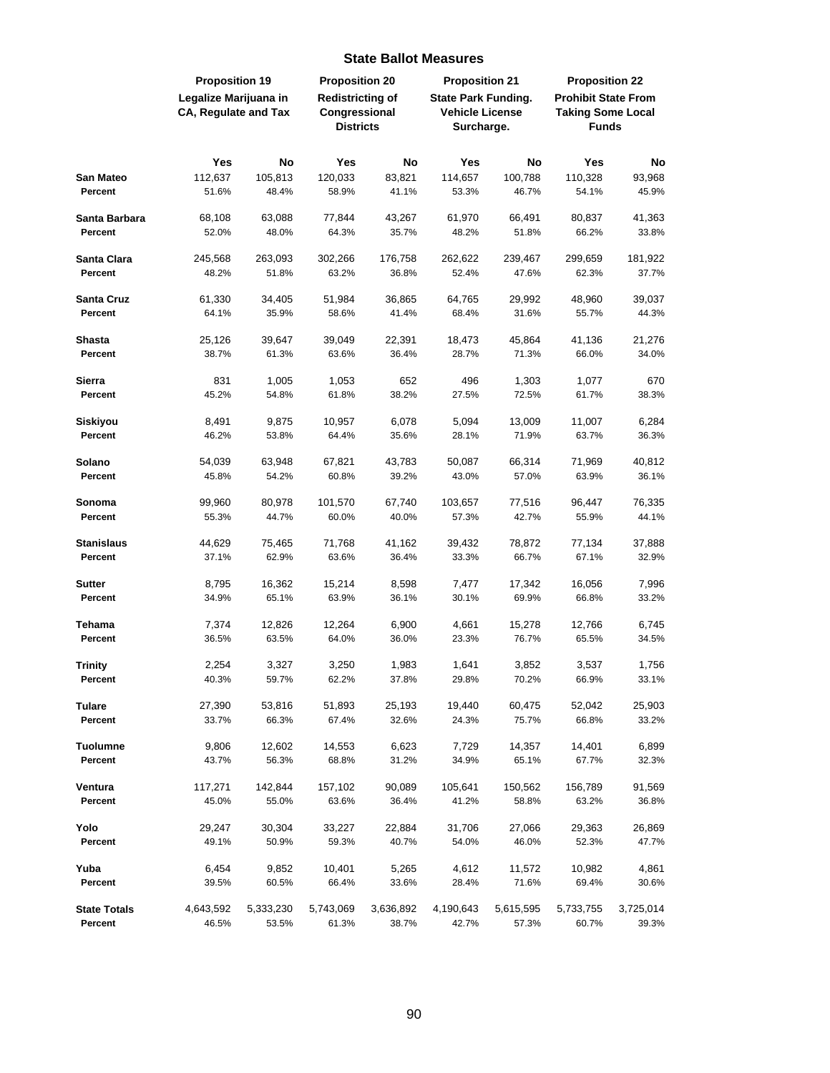|                     | <b>Proposition 19</b>                                |           | <b>Proposition 20</b>                                        |           | <b>Proposition 21</b>                                              |           | <b>Proposition 22</b>                                                  |           |
|---------------------|------------------------------------------------------|-----------|--------------------------------------------------------------|-----------|--------------------------------------------------------------------|-----------|------------------------------------------------------------------------|-----------|
|                     | Legalize Marijuana in<br><b>CA, Regulate and Tax</b> |           | <b>Redistricting of</b><br>Congressional<br><b>Districts</b> |           | <b>State Park Funding.</b><br><b>Vehicle License</b><br>Surcharge. |           | <b>Prohibit State From</b><br><b>Taking Some Local</b><br><b>Funds</b> |           |
|                     |                                                      |           |                                                              |           |                                                                    |           |                                                                        |           |
|                     | Yes                                                  | <b>No</b> | Yes                                                          | No        | Yes                                                                | <b>No</b> | Yes                                                                    | No        |
| San Mateo           | 112,637                                              | 105,813   | 120,033                                                      | 83,821    | 114,657                                                            | 100,788   | 110,328                                                                | 93,968    |
| Percent             | 51.6%                                                | 48.4%     | 58.9%                                                        | 41.1%     | 53.3%                                                              | 46.7%     | 54.1%                                                                  | 45.9%     |
| Santa Barbara       | 68,108                                               | 63,088    | 77,844                                                       | 43,267    | 61,970                                                             | 66,491    | 80,837                                                                 | 41,363    |
| Percent             | 52.0%                                                | 48.0%     | 64.3%                                                        | 35.7%     | 48.2%                                                              | 51.8%     | 66.2%                                                                  | 33.8%     |
| Santa Clara         | 245,568                                              | 263,093   | 302,266                                                      | 176,758   | 262,622                                                            | 239,467   | 299,659                                                                | 181,922   |
| Percent             | 48.2%                                                | 51.8%     | 63.2%                                                        | 36.8%     | 52.4%                                                              | 47.6%     | 62.3%                                                                  | 37.7%     |
| Santa Cruz          | 61,330                                               | 34,405    | 51,984                                                       | 36,865    | 64,765                                                             | 29,992    | 48,960                                                                 | 39,037    |
| Percent             | 64.1%                                                | 35.9%     | 58.6%                                                        | 41.4%     | 68.4%                                                              | 31.6%     | 55.7%                                                                  | 44.3%     |
| <b>Shasta</b>       | 25,126                                               | 39,647    | 39,049                                                       | 22,391    | 18,473                                                             | 45,864    | 41,136                                                                 | 21,276    |
| Percent             | 38.7%                                                | 61.3%     | 63.6%                                                        | 36.4%     | 28.7%                                                              | 71.3%     | 66.0%                                                                  | 34.0%     |
| Sierra              | 831                                                  | 1,005     | 1,053                                                        | 652       | 496                                                                | 1,303     | 1,077                                                                  | 670       |
| Percent             | 45.2%                                                | 54.8%     | 61.8%                                                        | 38.2%     | 27.5%                                                              | 72.5%     | 61.7%                                                                  | 38.3%     |
| Siskiyou            | 8,491                                                | 9,875     | 10,957                                                       | 6,078     | 5,094                                                              | 13,009    | 11,007                                                                 | 6,284     |
| Percent             | 46.2%                                                | 53.8%     | 64.4%                                                        | 35.6%     | 28.1%                                                              | 71.9%     | 63.7%                                                                  | 36.3%     |
| Solano              | 54,039                                               | 63,948    | 67,821                                                       | 43,783    | 50,087                                                             | 66,314    | 71,969                                                                 | 40,812    |
| Percent             | 45.8%                                                | 54.2%     | 60.8%                                                        | 39.2%     | 43.0%                                                              | 57.0%     | 63.9%                                                                  | 36.1%     |
| Sonoma              | 99,960                                               | 80,978    | 101,570                                                      | 67,740    | 103,657                                                            | 77,516    | 96,447                                                                 | 76,335    |
| Percent             | 55.3%                                                | 44.7%     | 60.0%                                                        | 40.0%     | 57.3%                                                              | 42.7%     | 55.9%                                                                  | 44.1%     |
| <b>Stanislaus</b>   | 44,629                                               | 75,465    | 71,768                                                       | 41,162    | 39,432                                                             | 78,872    | 77,134                                                                 | 37,888    |
| Percent             | 37.1%                                                | 62.9%     | 63.6%                                                        | 36.4%     | 33.3%                                                              | 66.7%     | 67.1%                                                                  | 32.9%     |
| <b>Sutter</b>       | 8,795                                                | 16,362    | 15,214                                                       | 8,598     | 7,477                                                              | 17,342    | 16,056                                                                 | 7,996     |
| Percent             | 34.9%                                                | 65.1%     | 63.9%                                                        | 36.1%     | 30.1%                                                              | 69.9%     | 66.8%                                                                  | 33.2%     |
| Tehama              | 7,374                                                | 12,826    | 12,264                                                       | 6,900     | 4,661                                                              | 15,278    | 12,766                                                                 | 6,745     |
| Percent             | 36.5%                                                | 63.5%     | 64.0%                                                        | 36.0%     | 23.3%                                                              | 76.7%     | 65.5%                                                                  | 34.5%     |
| Trinity             | 2,254                                                | 3,327     | 3,250                                                        | 1,983     | 1,641                                                              | 3,852     | 3,537                                                                  | 1,756     |
| Percent             | 40.3%                                                | 59.7%     | 62.2%                                                        | 37.8%     | 29.8%                                                              | 70.2%     | 66.9%                                                                  | 33.1%     |
| <b>Tulare</b>       | 27,390                                               | 53,816    | 51,893                                                       | 25,193    | 19,440                                                             | 60,475    | 52,042                                                                 | 25,903    |
| Percent             | 33.7%                                                | 66.3%     | 67.4%                                                        | 32.6%     | 24.3%                                                              | 75.7%     | 66.8%                                                                  | 33.2%     |
| <b>Tuolumne</b>     | 9,806                                                | 12,602    | 14,553                                                       | 6,623     | 7,729                                                              | 14,357    | 14,401                                                                 | 6,899     |
| Percent             | 43.7%                                                | 56.3%     | 68.8%                                                        | 31.2%     | 34.9%                                                              | 65.1%     | 67.7%                                                                  | 32.3%     |
| Ventura             | 117,271                                              | 142,844   | 157,102                                                      | 90,089    | 105,641                                                            | 150,562   | 156,789                                                                | 91,569    |
| Percent             | 45.0%                                                | 55.0%     | 63.6%                                                        | 36.4%     | 41.2%                                                              | 58.8%     | 63.2%                                                                  | 36.8%     |
| Yolo                | 29,247                                               | 30,304    | 33,227                                                       | 22,884    | 31,706                                                             | 27,066    | 29,363                                                                 | 26,869    |
| Percent             | 49.1%                                                | 50.9%     | 59.3%                                                        | 40.7%     | 54.0%                                                              | 46.0%     | 52.3%                                                                  | 47.7%     |
| Yuba                | 6,454                                                | 9,852     | 10,401                                                       | 5,265     | 4,612                                                              | 11,572    | 10,982                                                                 | 4,861     |
| Percent             | 39.5%                                                | 60.5%     | 66.4%                                                        | 33.6%     | 28.4%                                                              | 71.6%     | 69.4%                                                                  | 30.6%     |
| <b>State Totals</b> | 4,643,592                                            | 5,333,230 | 5,743,069                                                    | 3,636,892 | 4,190,643                                                          | 5,615,595 | 5,733,755                                                              | 3,725,014 |
| Percent             | 46.5%                                                | 53.5%     | 61.3%                                                        | 38.7%     | 42.7%                                                              | 57.3%     | 60.7%                                                                  | 39.3%     |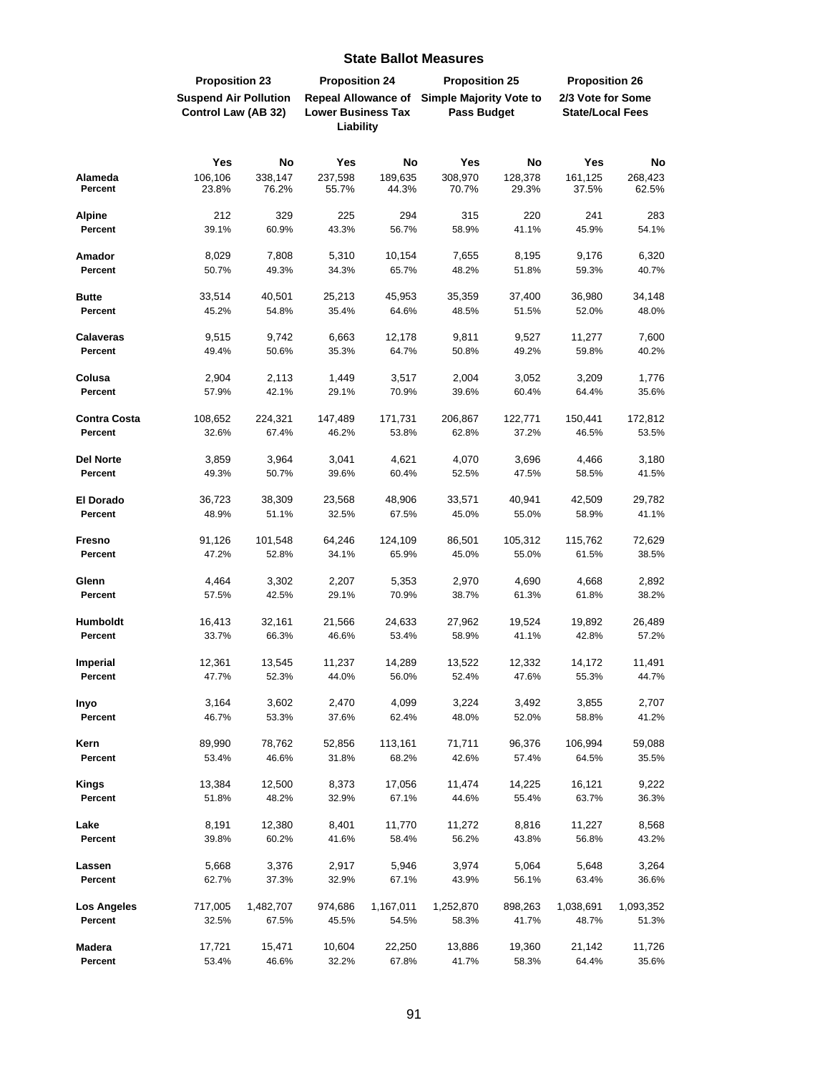|                          | <b>Proposition 23</b>                               |                    | <b>Proposition 24</b>                                                |                    | <b>Proposition 25</b>                                |                  | <b>Proposition 26</b>                        |                    |
|--------------------------|-----------------------------------------------------|--------------------|----------------------------------------------------------------------|--------------------|------------------------------------------------------|------------------|----------------------------------------------|--------------------|
|                          | <b>Suspend Air Pollution</b><br>Control Law (AB 32) |                    | <b>Repeal Allowance of</b><br><b>Lower Business Tax</b><br>Liability |                    | <b>Simple Majority Vote to</b><br><b>Pass Budget</b> |                  | 2/3 Vote for Some<br><b>State/Local Fees</b> |                    |
|                          |                                                     |                    |                                                                      |                    |                                                      |                  |                                              |                    |
|                          | Yes                                                 | No                 | Yes                                                                  | No                 | Yes                                                  | No               | Yes                                          | No                 |
| Alameda<br>Percent       | 106,106<br>23.8%                                    | 338,147<br>76.2%   | 237,598<br>55.7%                                                     | 189,635<br>44.3%   | 308,970<br>70.7%                                     | 128,378<br>29.3% | 161,125<br>37.5%                             | 268,423<br>62.5%   |
| <b>Alpine</b>            | 212                                                 | 329                | 225                                                                  | 294                | 315                                                  | 220              | 241                                          | 283                |
| Percent                  | 39.1%                                               | 60.9%              | 43.3%                                                                | 56.7%              | 58.9%                                                | 41.1%            | 45.9%                                        | 54.1%              |
| Amador                   | 8,029                                               | 7,808              | 5,310                                                                | 10,154             | 7,655                                                | 8,195            | 9,176                                        | 6,320              |
| Percent                  | 50.7%                                               | 49.3%              | 34.3%                                                                | 65.7%              | 48.2%                                                | 51.8%            | 59.3%                                        | 40.7%              |
| <b>Butte</b>             | 33,514                                              | 40,501             | 25,213                                                               | 45,953             | 35,359                                               | 37,400           | 36,980                                       | 34,148             |
| Percent                  | 45.2%                                               | 54.8%              | 35.4%                                                                | 64.6%              | 48.5%                                                | 51.5%            | 52.0%                                        | 48.0%              |
| <b>Calaveras</b>         | 9,515                                               | 9,742              | 6,663                                                                | 12,178             | 9,811                                                | 9,527            | 11,277                                       | 7,600              |
| Percent                  | 49.4%                                               | 50.6%              | 35.3%                                                                | 64.7%              | 50.8%                                                | 49.2%            | 59.8%                                        | 40.2%              |
| Colusa                   | 2,904                                               | 2,113              | 1,449                                                                | 3,517              | 2,004                                                | 3,052            | 3,209                                        | 1,776              |
| Percent                  | 57.9%                                               | 42.1%              | 29.1%                                                                | 70.9%              | 39.6%                                                | 60.4%            | 64.4%                                        | 35.6%              |
| <b>Contra Costa</b>      | 108,652                                             | 224,321            | 147,489                                                              | 171,731            | 206,867                                              | 122,771          | 150,441                                      | 172,812            |
| Percent                  | 32.6%                                               | 67.4%              | 46.2%                                                                | 53.8%              | 62.8%                                                | 37.2%            | 46.5%                                        | 53.5%              |
| <b>Del Norte</b>         | 3,859                                               | 3,964              | 3,041                                                                | 4,621              | 4,070                                                | 3,696            | 4,466                                        | 3,180              |
| Percent                  | 49.3%                                               | 50.7%              | 39.6%                                                                | 60.4%              | 52.5%                                                | 47.5%            | 58.5%                                        | 41.5%              |
| El Dorado                | 36,723                                              | 38,309             | 23,568                                                               | 48,906             | 33,571                                               | 40,941           | 42,509                                       | 29,782             |
| Percent                  | 48.9%                                               | 51.1%              | 32.5%                                                                | 67.5%              | 45.0%                                                | 55.0%            | 58.9%                                        | 41.1%              |
| Fresno                   | 91,126                                              | 101,548            | 64,246                                                               | 124,109            | 86,501                                               | 105,312          | 115,762                                      | 72,629             |
| Percent                  | 47.2%                                               | 52.8%              | 34.1%                                                                | 65.9%              | 45.0%                                                | 55.0%            | 61.5%                                        | 38.5%              |
| Glenn                    | 4,464                                               | 3,302              | 2,207                                                                | 5,353              | 2,970                                                | 4,690            | 4,668                                        | 2,892              |
| Percent                  | 57.5%                                               | 42.5%              | 29.1%                                                                | 70.9%              | 38.7%                                                | 61.3%            | 61.8%                                        | 38.2%              |
| <b>Humboldt</b>          | 16,413                                              | 32,161             | 21,566                                                               | 24,633             | 27,962                                               | 19,524           | 19,892                                       | 26,489             |
| Percent                  | 33.7%                                               | 66.3%              | 46.6%                                                                | 53.4%              | 58.9%                                                | 41.1%            | 42.8%                                        | 57.2%              |
| Imperial                 | 12,361                                              | 13,545             | 11,237                                                               | 14,289             | 13,522                                               | 12,332           | 14,172                                       | 11,491             |
| Percent                  | 47.7%                                               | 52.3%              | 44.0%                                                                | 56.0%              | 52.4%                                                | 47.6%            | 55.3%                                        | 44.7%              |
| Inyo                     | 3,164                                               | 3,602              | 2,470                                                                | 4,099              | 3,224                                                | 3,492            | 3,855                                        | 2,707              |
| Percent                  | 46.7%                                               | 53.3%              | 37.6%                                                                | 62.4%              | 48.0%                                                | 52.0%            | 58.8%                                        | 41.2%              |
| Kern                     | 89,990                                              | 78,762             | 52,856                                                               | 113,161            | 71,711                                               | 96,376           | 106,994                                      | 59,088             |
| Percent                  | 53.4%                                               | 46.6%              | 31.8%                                                                | 68.2%              | 42.6%                                                | 57.4%            | 64.5%                                        | 35.5%              |
| <b>Kings</b>             | 13,384                                              | 12,500             | 8,373                                                                | 17,056             | 11,474                                               | 14,225           | 16,121                                       | 9,222              |
| Percent                  | 51.8%                                               | 48.2%              | 32.9%                                                                | 67.1%              | 44.6%                                                | 55.4%            | 63.7%                                        | 36.3%              |
| Lake                     | 8,191                                               | 12,380             | 8,401                                                                | 11,770             | 11,272                                               | 8,816            | 11,227                                       | 8,568              |
| Percent                  | 39.8%                                               | 60.2%              | 41.6%                                                                | 58.4%              | 56.2%                                                | 43.8%            | 56.8%                                        | 43.2%              |
| Lassen                   | 5,668                                               | 3,376              | 2,917                                                                | 5,946              | 3,974                                                | 5,064            | 5,648                                        | 3,264              |
| Percent                  | 62.7%                                               | 37.3%              | 32.9%                                                                | 67.1%              | 43.9%                                                | 56.1%            | 63.4%                                        | 36.6%              |
| Los Angeles<br>Percent   | 717,005<br>32.5%                                    | 1,482,707<br>67.5% | 974,686<br>45.5%                                                     | 1,167,011<br>54.5% | 1,252,870<br>58.3%                                   | 898,263<br>41.7% | 1,038,691<br>48.7%                           | 1,093,352<br>51.3% |
| <b>Madera</b><br>Percent | 17,721<br>53.4%                                     | 15,471<br>46.6%    | 10,604<br>32.2%                                                      | 22,250<br>67.8%    | 13,886<br>41.7%                                      | 19,360<br>58.3%  | 21,142<br>64.4%                              | 11,726<br>35.6%    |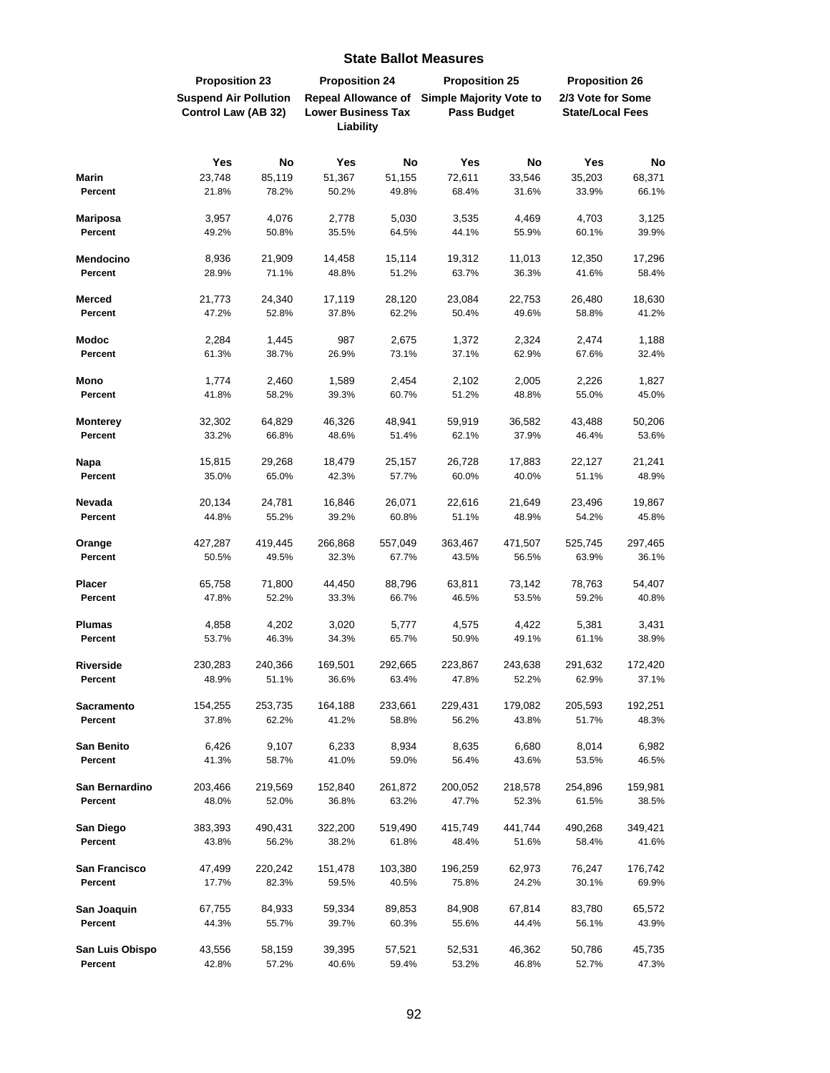|                   | <b>Proposition 23</b>                               |           | <b>Proposition 24</b>                                   |         | <b>Proposition 25</b>                                |         | <b>Proposition 26</b>                        |         |
|-------------------|-----------------------------------------------------|-----------|---------------------------------------------------------|---------|------------------------------------------------------|---------|----------------------------------------------|---------|
|                   | <b>Suspend Air Pollution</b><br>Control Law (AB 32) |           | <b>Repeal Allowance of</b><br><b>Lower Business Tax</b> |         | <b>Simple Majority Vote to</b><br><b>Pass Budget</b> |         | 2/3 Vote for Some<br><b>State/Local Fees</b> |         |
|                   |                                                     |           | Liability                                               |         |                                                      |         |                                              |         |
|                   | Yes                                                 | <b>No</b> | Yes                                                     | No      | Yes                                                  | No      | Yes                                          | No      |
| <b>Marin</b>      | 23,748                                              | 85,119    | 51,367                                                  | 51,155  | 72,611                                               | 33,546  | 35,203                                       | 68,371  |
| Percent           | 21.8%                                               | 78.2%     | 50.2%                                                   | 49.8%   | 68.4%                                                | 31.6%   | 33.9%                                        | 66.1%   |
| <b>Mariposa</b>   | 3,957                                               | 4,076     | 2,778                                                   | 5,030   | 3,535                                                | 4,469   | 4,703                                        | 3,125   |
| Percent           | 49.2%                                               | 50.8%     | 35.5%                                                   | 64.5%   | 44.1%                                                | 55.9%   | 60.1%                                        | 39.9%   |
| <b>Mendocino</b>  | 8,936                                               | 21,909    | 14,458                                                  | 15,114  | 19,312                                               | 11,013  | 12,350                                       | 17,296  |
| Percent           | 28.9%                                               | 71.1%     | 48.8%                                                   | 51.2%   | 63.7%                                                | 36.3%   | 41.6%                                        | 58.4%   |
| <b>Merced</b>     | 21,773                                              | 24,340    | 17,119                                                  | 28,120  | 23,084                                               | 22,753  | 26,480                                       | 18,630  |
| Percent           | 47.2%                                               | 52.8%     | 37.8%                                                   | 62.2%   | 50.4%                                                | 49.6%   | 58.8%                                        | 41.2%   |
| <b>Modoc</b>      | 2,284                                               | 1,445     | 987                                                     | 2,675   | 1,372                                                | 2,324   | 2,474                                        | 1,188   |
| Percent           | 61.3%                                               | 38.7%     | 26.9%                                                   | 73.1%   | 37.1%                                                | 62.9%   | 67.6%                                        | 32.4%   |
| Mono              | 1,774                                               | 2,460     | 1,589                                                   | 2,454   | 2,102                                                | 2,005   | 2,226                                        | 1,827   |
| Percent           | 41.8%                                               | 58.2%     | 39.3%                                                   | 60.7%   | 51.2%                                                | 48.8%   | 55.0%                                        | 45.0%   |
| <b>Monterey</b>   | 32,302                                              | 64,829    | 46,326                                                  | 48,941  | 59,919                                               | 36,582  | 43,488                                       | 50,206  |
| Percent           | 33.2%                                               | 66.8%     | 48.6%                                                   | 51.4%   | 62.1%                                                | 37.9%   | 46.4%                                        | 53.6%   |
| Napa              | 15,815                                              | 29,268    | 18,479                                                  | 25,157  | 26,728                                               | 17,883  | 22,127                                       | 21,241  |
| Percent           | 35.0%                                               | 65.0%     | 42.3%                                                   | 57.7%   | 60.0%                                                | 40.0%   | 51.1%                                        | 48.9%   |
| Nevada            | 20,134                                              | 24,781    | 16,846                                                  | 26,071  | 22,616                                               | 21,649  | 23,496                                       | 19,867  |
| Percent           | 44.8%                                               | 55.2%     | 39.2%                                                   | 60.8%   | 51.1%                                                | 48.9%   | 54.2%                                        | 45.8%   |
| Orange            | 427,287                                             | 419,445   | 266,868                                                 | 557,049 | 363,467                                              | 471,507 | 525,745                                      | 297,465 |
| Percent           | 50.5%                                               | 49.5%     | 32.3%                                                   | 67.7%   | 43.5%                                                | 56.5%   | 63.9%                                        | 36.1%   |
| <b>Placer</b>     | 65,758                                              | 71,800    | 44,450                                                  | 88,796  | 63,811                                               | 73,142  | 78,763                                       | 54,407  |
| Percent           | 47.8%                                               | 52.2%     | 33.3%                                                   | 66.7%   | 46.5%                                                | 53.5%   | 59.2%                                        | 40.8%   |
| <b>Plumas</b>     | 4,858                                               | 4,202     | 3,020                                                   | 5,777   | 4,575                                                | 4,422   | 5,381                                        | 3,431   |
| Percent           | 53.7%                                               | 46.3%     | 34.3%                                                   | 65.7%   | 50.9%                                                | 49.1%   | 61.1%                                        | 38.9%   |
| <b>Riverside</b>  | 230,283                                             | 240,366   | 169,501                                                 | 292,665 | 223,867                                              | 243,638 | 291,632                                      | 172,420 |
| Percent           | 48.9%                                               | 51.1%     | 36.6%                                                   | 63.4%   | 47.8%                                                | 52.2%   | 62.9%                                        | 37.1%   |
| <b>Sacramento</b> | 154,255                                             | 253,735   | 164,188                                                 | 233,661 | 229,431                                              | 179,082 | 205,593                                      | 192,251 |
| Percent           | 37.8%                                               | 62.2%     | 41.2%                                                   | 58.8%   | 56.2%                                                | 43.8%   | 51.7%                                        | 48.3%   |
| <b>San Benito</b> | 6,426                                               | 9,107     | 6,233                                                   | 8,934   | 8,635                                                | 6,680   | 8,014                                        | 6,982   |
| Percent           | 41.3%                                               | 58.7%     | 41.0%                                                   | 59.0%   | 56.4%                                                | 43.6%   | 53.5%                                        | 46.5%   |
| San Bernardino    | 203,466                                             | 219,569   | 152,840                                                 | 261,872 | 200,052                                              | 218,578 | 254,896                                      | 159,981 |
| Percent           | 48.0%                                               | 52.0%     | 36.8%                                                   | 63.2%   | 47.7%                                                | 52.3%   | 61.5%                                        | 38.5%   |
| San Diego         | 383,393                                             | 490,431   | 322,200                                                 | 519,490 | 415,749                                              | 441,744 | 490,268                                      | 349,421 |
| Percent           | 43.8%                                               | 56.2%     | 38.2%                                                   | 61.8%   | 48.4%                                                | 51.6%   | 58.4%                                        | 41.6%   |
| San Francisco     | 47,499                                              | 220,242   | 151,478                                                 | 103,380 | 196,259                                              | 62,973  | 76,247                                       | 176,742 |
| Percent           | 17.7%                                               | 82.3%     | 59.5%                                                   | 40.5%   | 75.8%                                                | 24.2%   | 30.1%                                        | 69.9%   |
| San Joaquin       | 67,755                                              | 84,933    | 59,334                                                  | 89,853  | 84,908                                               | 67,814  | 83,780                                       | 65,572  |
| Percent           | 44.3%                                               | 55.7%     | 39.7%                                                   | 60.3%   | 55.6%                                                | 44.4%   | 56.1%                                        | 43.9%   |
| San Luis Obispo   | 43,556                                              | 58,159    | 39,395                                                  | 57,521  | 52,531                                               | 46,362  | 50,786                                       | 45,735  |
| Percent           | 42.8%                                               | 57.2%     | 40.6%                                                   | 59.4%   | 53.2%                                                | 46.8%   | 52.7%                                        | 47.3%   |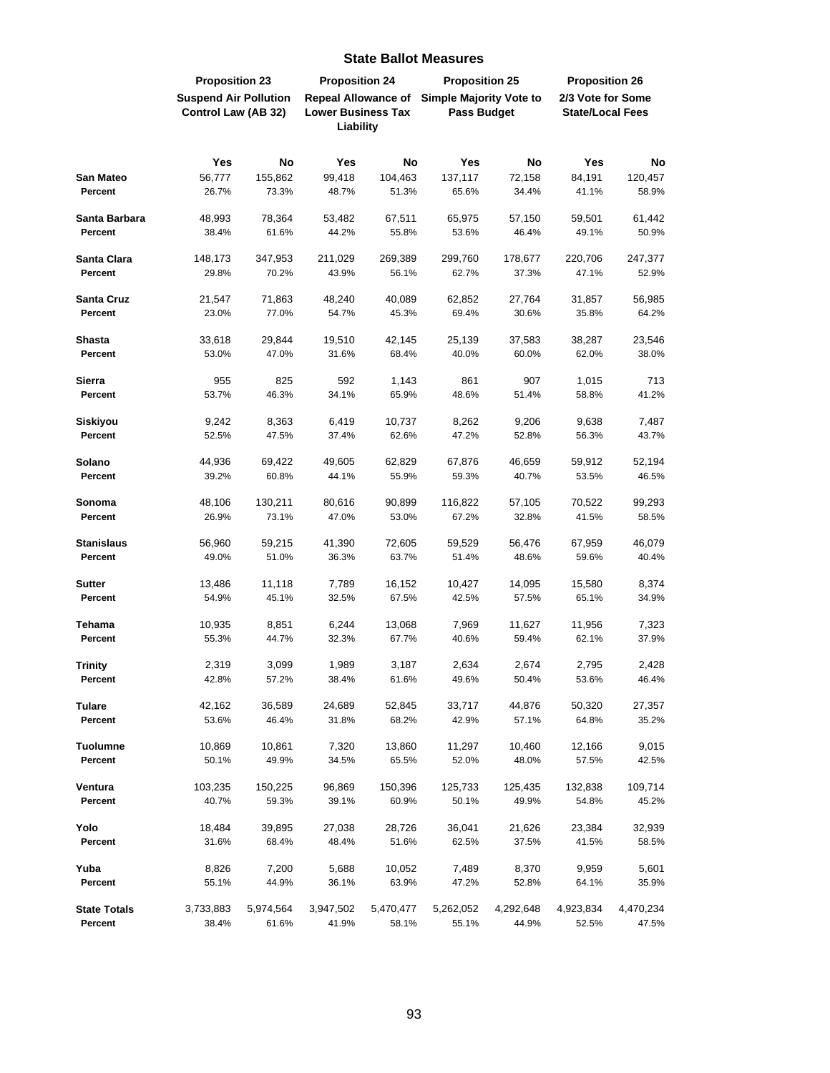|                              | <b>Proposition 23</b>                               |                  | <b>Proposition 24</b>                                                |                  | <b>Proposition 25</b>                                |                  | <b>Proposition 26</b>                        |                  |
|------------------------------|-----------------------------------------------------|------------------|----------------------------------------------------------------------|------------------|------------------------------------------------------|------------------|----------------------------------------------|------------------|
|                              | <b>Suspend Air Pollution</b><br>Control Law (AB 32) |                  | <b>Repeal Allowance of</b><br><b>Lower Business Tax</b><br>Liability |                  | <b>Simple Majority Vote to</b><br><b>Pass Budget</b> |                  | 2/3 Vote for Some<br><b>State/Local Fees</b> |                  |
|                              |                                                     |                  |                                                                      |                  |                                                      |                  |                                              |                  |
|                              | Yes                                                 | <b>No</b>        | Yes                                                                  | No               | Yes                                                  | <b>No</b>        | Yes                                          | No               |
| <b>San Mateo</b>             | 56,777                                              | 155,862          | 99,418                                                               | 104,463          | 137,117                                              | 72,158           | 84,191                                       | 120,457          |
| Percent                      | 26.7%                                               | 73.3%            | 48.7%                                                                | 51.3%            | 65.6%                                                | 34.4%            | 41.1%                                        | 58.9%            |
|                              |                                                     |                  |                                                                      |                  |                                                      |                  |                                              |                  |
| Santa Barbara<br>Percent     | 48,993<br>38.4%                                     | 78,364<br>61.6%  | 53,482<br>44.2%                                                      | 67,511<br>55.8%  | 65,975<br>53.6%                                      | 57,150<br>46.4%  | 59,501<br>49.1%                              | 61,442<br>50.9%  |
|                              |                                                     |                  |                                                                      |                  |                                                      |                  |                                              |                  |
| Santa Clara                  | 148,173                                             | 347,953          | 211,029                                                              | 269,389          | 299,760                                              | 178,677          | 220,706                                      | 247,377          |
| Percent                      | 29.8%                                               | 70.2%            | 43.9%                                                                | 56.1%            | 62.7%                                                | 37.3%            | 47.1%                                        | 52.9%            |
| <b>Santa Cruz</b>            | 21,547                                              | 71,863           | 48,240                                                               | 40,089           | 62,852                                               | 27,764           | 31,857                                       | 56,985           |
| Percent                      | 23.0%                                               | 77.0%            | 54.7%                                                                | 45.3%            | 69.4%                                                | 30.6%            | 35.8%                                        | 64.2%            |
|                              |                                                     |                  |                                                                      |                  |                                                      |                  |                                              |                  |
| <b>Shasta</b><br>Percent     | 33,618                                              | 29,844           | 19,510                                                               | 42,145           | 25,139                                               | 37,583           | 38,287                                       | 23,546           |
|                              | 53.0%                                               | 47.0%            | 31.6%                                                                | 68.4%            | 40.0%                                                | 60.0%            | 62.0%                                        | 38.0%            |
| Sierra                       | 955                                                 | 825              | 592                                                                  | 1,143            | 861                                                  | 907              | 1,015                                        | 713              |
| Percent                      | 53.7%                                               | 46.3%            | 34.1%                                                                | 65.9%            | 48.6%                                                | 51.4%            | 58.8%                                        | 41.2%            |
| <b>Siskiyou</b>              | 9,242                                               | 8,363            | 6,419                                                                | 10,737           | 8,262                                                | 9,206            | 9,638                                        | 7,487            |
| Percent                      | 52.5%                                               | 47.5%            | 37.4%                                                                | 62.6%            | 47.2%                                                | 52.8%            | 56.3%                                        | 43.7%            |
|                              |                                                     |                  |                                                                      |                  |                                                      |                  |                                              |                  |
| Solano                       | 44,936                                              | 69,422           | 49,605                                                               | 62,829           | 67,876                                               | 46,659           | 59,912                                       | 52,194           |
| Percent                      | 39.2%                                               | 60.8%            | 44.1%                                                                | 55.9%            | 59.3%                                                | 40.7%            | 53.5%                                        | 46.5%            |
| Sonoma                       | 48,106                                              | 130,211          | 80,616                                                               | 90,899           | 116,822                                              | 57,105           | 70,522                                       | 99,293           |
| Percent                      | 26.9%                                               | 73.1%            | 47.0%                                                                | 53.0%            | 67.2%                                                | 32.8%            | 41.5%                                        | 58.5%            |
|                              |                                                     |                  | 41,390                                                               |                  |                                                      |                  |                                              | 46,079           |
| <b>Stanislaus</b><br>Percent | 56,960<br>49.0%                                     | 59,215<br>51.0%  | 36.3%                                                                | 72,605<br>63.7%  | 59,529<br>51.4%                                      | 56,476<br>48.6%  | 67,959<br>59.6%                              | 40.4%            |
|                              |                                                     |                  |                                                                      |                  |                                                      |                  |                                              |                  |
| <b>Sutter</b>                | 13,486                                              | 11,118           | 7,789                                                                | 16,152           | 10,427                                               | 14,095           | 15,580                                       | 8,374            |
| Percent                      | 54.9%                                               | 45.1%            | 32.5%                                                                | 67.5%            | 42.5%                                                | 57.5%            | 65.1%                                        | 34.9%            |
| Tehama                       | 10,935                                              | 8,851            | 6,244                                                                | 13,068           | 7,969                                                | 11,627           | 11,956                                       | 7,323            |
| Percent                      | 55.3%                                               | 44.7%            | 32.3%                                                                | 67.7%            | 40.6%                                                | 59.4%            | 62.1%                                        | 37.9%            |
|                              |                                                     |                  |                                                                      |                  |                                                      |                  |                                              |                  |
| <b>Trinity</b><br>Percent    | 2,319<br>42.8%                                      | 3,099<br>57.2%   | 1,989<br>38.4%                                                       | 3,187<br>61.6%   | 2,634<br>49.6%                                       | 2,674<br>50.4%   | 2,795<br>53.6%                               | 2,428<br>46.4%   |
|                              |                                                     |                  |                                                                      |                  |                                                      |                  |                                              |                  |
| <b>Tulare</b>                | 42,162                                              | 36,589           | 24,689                                                               | 52,845           | 33,717                                               | 44,876           | 50,320                                       | 27,357           |
| Percent                      | 53.6%                                               | 46.4%            | 31.8%                                                                | 68.2%            | 42.9%                                                | 57.1%            | 64.8%                                        | 35.2%            |
| <b>Tuolumne</b>              | 10,869                                              | 10,861           | 7,320                                                                | 13,860           | 11,297                                               | 10,460           | 12,166                                       | 9,015            |
| Percent                      | 50.1%                                               | 49.9%            | 34.5%                                                                | 65.5%            | 52.0%                                                | 48.0%            | 57.5%                                        | 42.5%            |
|                              |                                                     |                  |                                                                      |                  |                                                      |                  |                                              |                  |
| Ventura<br>Percent           | 103,235<br>40.7%                                    | 150,225<br>59.3% | 96,869<br>39.1%                                                      | 150,396<br>60.9% | 125,733<br>50.1%                                     | 125,435<br>49.9% | 132,838<br>54.8%                             | 109,714<br>45.2% |
|                              |                                                     |                  |                                                                      |                  |                                                      |                  |                                              |                  |
| Yolo                         | 18,484                                              | 39,895           | 27,038                                                               | 28,726           | 36,041                                               | 21,626           | 23,384                                       | 32,939           |
| Percent                      | 31.6%                                               | 68.4%            | 48.4%                                                                | 51.6%            | 62.5%                                                | 37.5%            | 41.5%                                        | 58.5%            |
| Yuba                         | 8,826                                               | 7,200            | 5,688                                                                | 10,052           | 7,489                                                | 8,370            | 9,959                                        | 5,601            |
| Percent                      | 55.1%                                               | 44.9%            | 36.1%                                                                | 63.9%            | 47.2%                                                | 52.8%            | 64.1%                                        | 35.9%            |
|                              |                                                     |                  |                                                                      |                  |                                                      |                  |                                              |                  |
| <b>State Totals</b>          | 3,733,883                                           | 5,974,564        | 3,947,502                                                            | 5,470,477        | 5,262,052                                            | 4,292,648        | 4,923,834                                    | 4,470,234        |
| Percent                      | 38.4%                                               | 61.6%            | 41.9%                                                                | 58.1%            | 55.1%                                                | 44.9%            | 52.5%                                        | 47.5%            |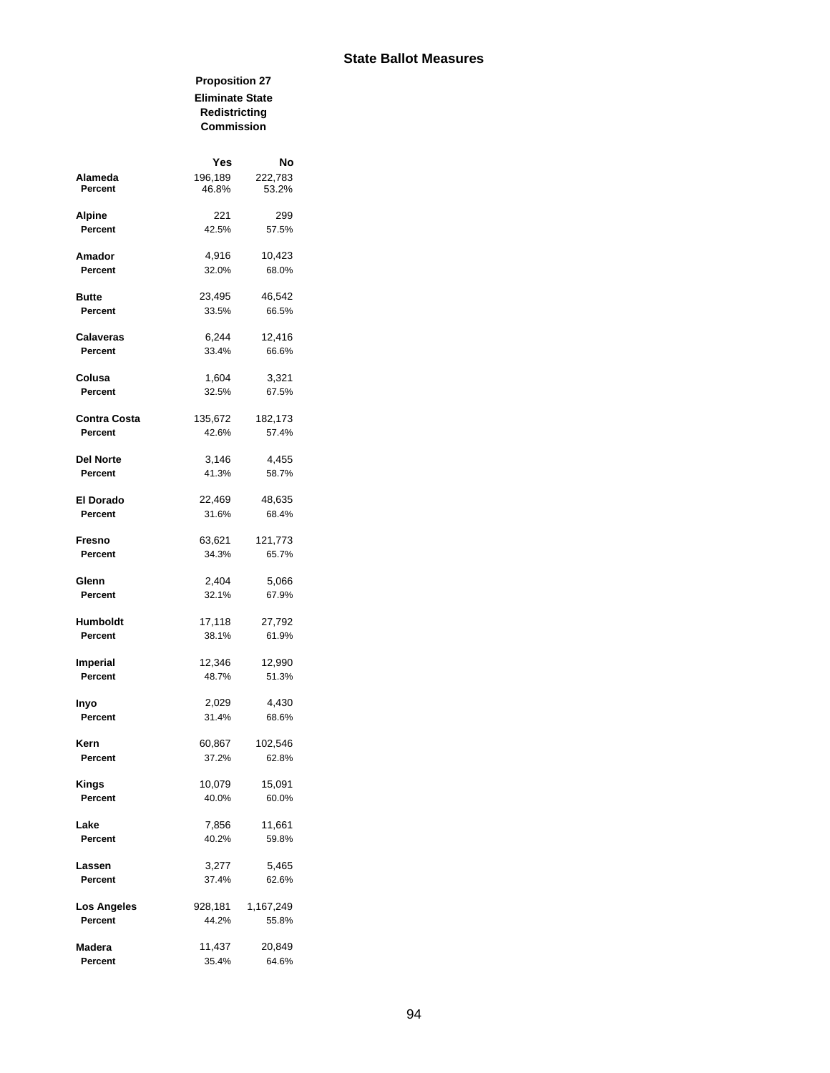#### **Proposition 27 Eliminate State Redistricting Commission**

|                    | Yes              | No               |
|--------------------|------------------|------------------|
| Alameda<br>Percent | 196,189<br>46.8% | 222,783<br>53.2% |
| <b>Alpine</b>      | 221              | 299              |
| Percent            | 42.5%            | 57.5%            |
| Amador             | 4,916            | 10,423           |
| Percent            | 32.0%            | 68.0%            |
| Butte              | 23,495           | 46,542           |
| Percent            | 33.5%            | 66.5%            |
| <b>Calaveras</b>   | 6,244            | 12,416           |
| Percent            | 33.4%            | 66.6%            |
| Colusa             | 1,604            | 3,321            |
| Percent            | 32.5%            | 67.5%            |
| Contra Costa       | 135,672          | 182,173          |
| Percent            | 42.6%            | 57.4%            |
| Del Norte          | 3,146            | 4,455            |
| Percent            | 41.3%            | 58.7%            |
| El Dorado          | 22,469           | 48,635           |
| Percent            | 31.6%            | 68.4%            |
| Fresno             | 63,621           | 121,773          |
| Percent            | 34.3%            | 65.7%            |
| Glenn              | 2,404            | 5,066            |
| Percent            | 32.1%            | 67.9%            |
| Humboldt           | 17,118           | 27,792           |
| Percent            | 38.1%            | 61.9%            |
| <b>Imperial</b>    | 12,346           | 12,990           |
| Percent            | 48.7%            | 51.3%            |
| Inyo               | 2,029            | 4,430            |
| Percent            | 31.4%            | 68.6%            |
| Kern               | 60,867           | 102,546          |
| Percent            | 37.2%            | 62.8%            |
| Kings              | 10,079           | 15,091           |
| Percent            | 40.0%            | 60.0%            |
| Lake               | 7,856            | 11,661           |
| Percent            | 40.2%            | 59.8%            |
| Lassen             | 3,277            | 5,465            |
| Percent            | 37.4%            | 62.6%            |
| Los Angeles        | 928,181          | 1,167,249        |
| Percent            | 44.2%            | 55.8%            |
| Madera             | 11,437           | 20,849           |
| Percent            | 35.4%            | 64.6%            |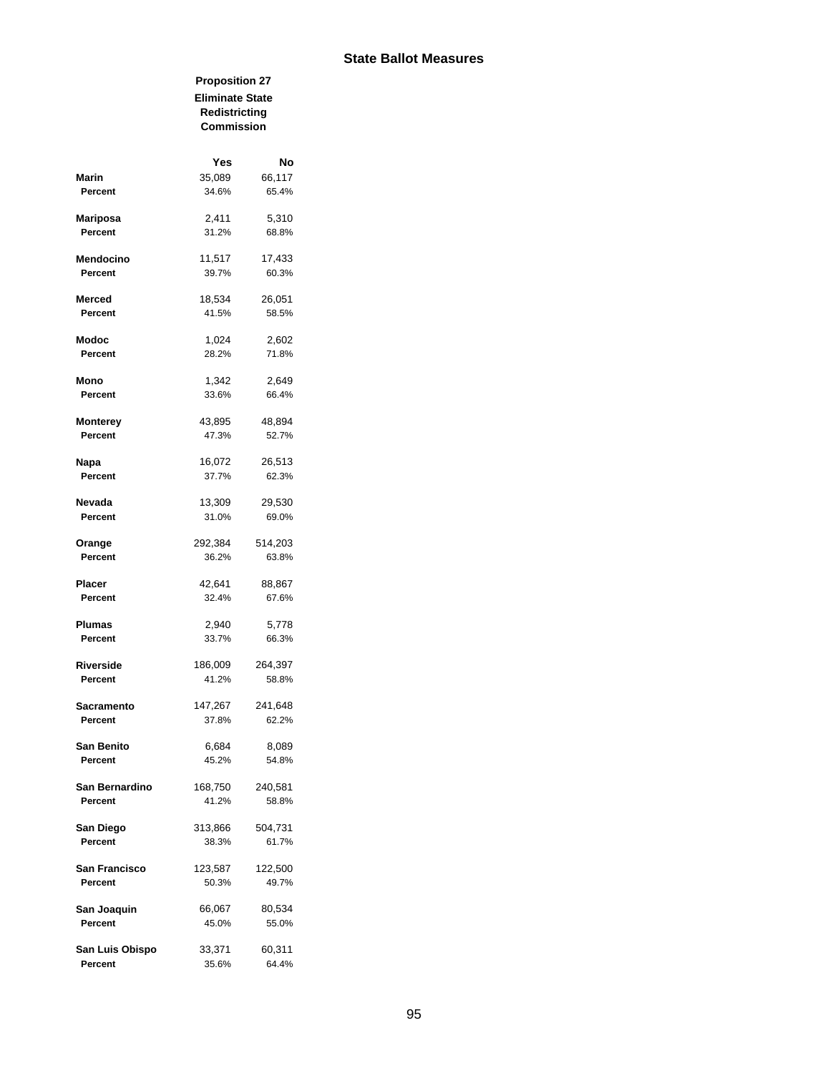#### **Proposition 27 Eliminate State Redistricting Commission**

|                      | Yes     | No      |
|----------------------|---------|---------|
| <b>Marin</b>         | 35,089  | 66,117  |
| Percent              | 34.6%   | 65.4%   |
| Mariposa             | 2,411   | 5,310   |
| Percent              | 31.2%   | 68.8%   |
| Mendocino            | 11,517  | 17,433  |
| Percent              | 39.7%   | 60.3%   |
| Merced               | 18,534  | 26,051  |
| Percent              | 41.5%   | 58.5%   |
| <b>Modoc</b>         | 1,024   | 2,602   |
| Percent              | 28.2%   | 71.8%   |
| Mono                 | 1,342   | 2,649   |
| Percent              | 33.6%   | 66.4%   |
| <b>Monterey</b>      | 43,895  | 48,894  |
| Percent              | 47.3%   | 52.7%   |
| Napa                 | 16,072  | 26,513  |
| Percent              | 37.7%   | 62.3%   |
| Nevada               | 13,309  | 29,530  |
| Percent              | 31.0%   | 69.0%   |
| Orange               | 292,384 | 514,203 |
| Percent              | 36.2%   | 63.8%   |
| Placer               | 42,641  | 88,867  |
| Percent              | 32.4%   | 67.6%   |
| <b>Plumas</b>        | 2,940   | 5,778   |
| Percent              | 33.7%   | 66.3%   |
| Riverside            | 186,009 | 264,397 |
| Percent              | 41.2%   | 58.8%   |
| <b>Sacramento</b>    | 147,267 | 241,648 |
| Percent              | 37.8%   | 62.2%   |
| <b>San Benito</b>    | 6,684   | 8,089   |
| Percent              | 45.2%   | 54.8%   |
| San Bernardino       | 168,750 | 240,581 |
| Percent              | 41.2%   | 58.8%   |
| San Diego            | 313,866 | 504,731 |
| Percent              | 38.3%   | 61.7%   |
| <b>San Francisco</b> | 123,587 | 122,500 |
| Percent              | 50.3%   | 49.7%   |
| San Joaquin          | 66,067  | 80,534  |
| Percent              | 45.0%   | 55.0%   |
| San Luis Obispo      | 33,371  | 60,311  |
| Percent              | 35.6%   | 64.4%   |